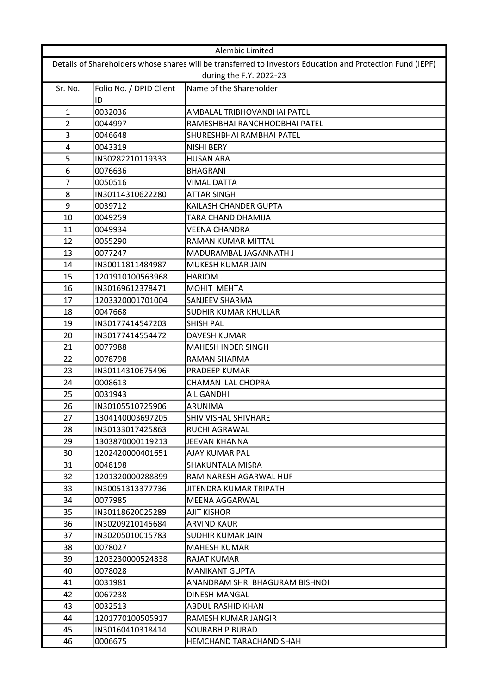| Alembic Limited                                                                                            |                         |                                |
|------------------------------------------------------------------------------------------------------------|-------------------------|--------------------------------|
| Details of Shareholders whose shares will be transferred to Investors Education and Protection Fund (IEPF) |                         |                                |
| during the F.Y. 2022-23                                                                                    |                         |                                |
| Sr. No.                                                                                                    | Folio No. / DPID Client | Name of the Shareholder        |
|                                                                                                            | ID                      |                                |
| $\mathbf{1}$                                                                                               | 0032036                 | AMBALAL TRIBHOVANBHAI PATEL    |
| 2                                                                                                          | 0044997                 | RAMESHBHAI RANCHHODBHAI PATEL  |
| 3                                                                                                          | 0046648                 | SHURESHBHAI RAMBHAI PATEL      |
| 4                                                                                                          | 0043319                 | <b>NISHI BERY</b>              |
| 5                                                                                                          | IN30282210119333        | <b>HUSAN ARA</b>               |
| 6                                                                                                          | 0076636                 | <b>BHAGRANI</b>                |
| 7                                                                                                          | 0050516                 | <b>VIMAL DATTA</b>             |
| 8                                                                                                          | IN30114310622280        | <b>ATTAR SINGH</b>             |
| 9                                                                                                          | 0039712                 | KAILASH CHANDER GUPTA          |
| 10                                                                                                         | 0049259                 | TARA CHAND DHAMIJA             |
| 11                                                                                                         | 0049934                 | <b>VEENA CHANDRA</b>           |
| 12                                                                                                         | 0055290                 | <b>RAMAN KUMAR MITTAL</b>      |
| 13                                                                                                         | 0077247                 | MADURAMBAL JAGANNATH J         |
| 14                                                                                                         | IN30011811484987        | MUKESH KUMAR JAIN              |
| 15                                                                                                         | 1201910100563968        | HARIOM.                        |
| 16                                                                                                         | IN30169612378471        | MOHIT MEHTA                    |
| 17                                                                                                         | 1203320001701004        | SANJEEV SHARMA                 |
| 18                                                                                                         | 0047668                 | SUDHIR KUMAR KHULLAR           |
| 19                                                                                                         | IN30177414547203        | <b>SHISH PAL</b>               |
| 20                                                                                                         | IN30177414554472        | <b>DAVESH KUMAR</b>            |
| 21                                                                                                         | 0077988                 | <b>MAHESH INDER SINGH</b>      |
| 22                                                                                                         | 0078798                 | <b>RAMAN SHARMA</b>            |
| 23                                                                                                         | IN30114310675496        | <b>PRADEEP KUMAR</b>           |
| 24                                                                                                         | 0008613                 | CHAMAN LAL CHOPRA              |
| 25                                                                                                         | 0031943                 | A L GANDHI                     |
| 26                                                                                                         | IN30105510725906        | ARUNIMA                        |
| 27                                                                                                         | 1304140003697205        | SHIV VISHAL SHIVHARE           |
| 28                                                                                                         | IN30133017425863        | RUCHI AGRAWAL                  |
| 29                                                                                                         | 1303870000119213        | JEEVAN KHANNA                  |
| 30                                                                                                         | 1202420000401651        | AJAY KUMAR PAL                 |
| 31                                                                                                         | 0048198                 | SHAKUNTALA MISRA               |
| 32                                                                                                         | 1201320000288899        | RAM NARESH AGARWAL HUF         |
| 33                                                                                                         | IN30051313377736        | JITENDRA KUMAR TRIPATHI        |
| 34                                                                                                         | 0077985                 | MEENA AGGARWAL                 |
| 35                                                                                                         | IN30118620025289        | AJIT KISHOR                    |
| 36                                                                                                         | IN30209210145684        | ARVIND KAUR                    |
| 37                                                                                                         | IN30205010015783        | SUDHIR KUMAR JAIN              |
| 38                                                                                                         | 0078027                 | <b>MAHESH KUMAR</b>            |
| 39                                                                                                         | 1203230000524838        | RAJAT KUMAR                    |
| 40                                                                                                         | 0078028                 | <b>MANIKANT GUPTA</b>          |
| 41                                                                                                         | 0031981                 | ANANDRAM SHRI BHAGURAM BISHNOI |
| 42                                                                                                         | 0067238                 | <b>DINESH MANGAL</b>           |
| 43                                                                                                         | 0032513                 | ABDUL RASHID KHAN              |
| 44                                                                                                         | 1201770100505917        | RAMESH KUMAR JANGIR            |
| 45                                                                                                         | IN30160410318414        | <b>SOURABH P BURAD</b>         |
| 46                                                                                                         | 0006675                 | HEMCHAND TARACHAND SHAH        |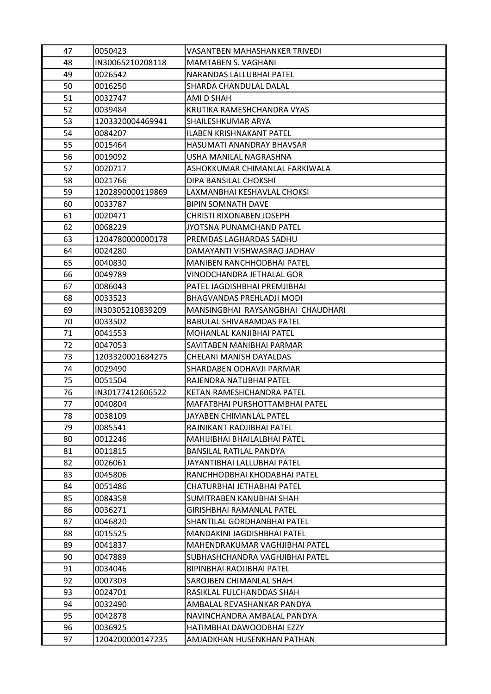| 47 | 0050423          | <b>VASANTBEN MAHASHANKER TRIVEDI</b> |
|----|------------------|--------------------------------------|
| 48 | IN30065210208118 | <b>MAMTABEN S. VAGHANI</b>           |
| 49 | 0026542          | NARANDAS LALLUBHAI PATEL             |
| 50 | 0016250          | SHARDA CHANDULAL DALAL               |
| 51 | 0032747          | AMI D SHAH                           |
| 52 | 0039484          | KRUTIKA RAMESHCHANDRA VYAS           |
| 53 | 1203320004469941 | SHAILESHKUMAR ARYA                   |
| 54 | 0084207          | <b>ILABEN KRISHNAKANT PATEL</b>      |
| 55 | 0015464          | HASUMATI ANANDRAY BHAVSAR            |
| 56 | 0019092          | USHA MANILAL NAGRASHNA               |
| 57 | 0020717          | ASHOKKUMAR CHIMANLAL FARKIWALA       |
| 58 | 0021766          | DIPA BANSILAL CHOKSHI                |
| 59 | 1202890000119869 | LAXMANBHAI KESHAVLAL CHOKSI          |
| 60 | 0033787          | <b>BIPIN SOMNATH DAVE</b>            |
| 61 | 0020471          | <b>CHRISTI RIXONABEN JOSEPH</b>      |
| 62 | 0068229          | <b>JYOTSNA PUNAMCHAND PATEL</b>      |
| 63 | 1204780000000178 | PREMDAS LAGHARDAS SADHU              |
| 64 | 0024280          | DAMAYANTI VISHWASRAO JADHAV          |
| 65 | 0040830          | <b>MANIBEN RANCHHODBHAI PATEL</b>    |
| 66 | 0049789          | VINODCHANDRA JETHALAL GOR            |
| 67 | 0086043          | PATEL JAGDISHBHAI PREMJIBHAI         |
| 68 | 0033523          | BHAGVANDAS PREHLADJI MODI            |
| 69 | IN30305210839209 | MANSINGBHAI RAYSANGBHAI CHAUDHARI    |
| 70 | 0033502          | <b>BABULAL SHIVARAMDAS PATEL</b>     |
| 71 | 0041553          | MOHANLAL KANJIBHAI PATEL             |
| 72 | 0047053          | SAVITABEN MANIBHAI PARMAR            |
| 73 | 1203320001684275 | CHELANI MANISH DAYALDAS              |
| 74 | 0029490          | SHARDABEN ODHAVJI PARMAR             |
| 75 | 0051504          | RAJENDRA NATUBHAI PATEL              |
| 76 | IN30177412606522 | KETAN RAMESHCHANDRA PATEL            |
| 77 | 0040804          | MAFATBHAI PURSHOTTAMBHAI PATEL       |
| 78 | 0038109          | JAYABEN CHIMANLAL PATEL              |
| 79 | 0085541          | RAJNIKANT RAOJIBHAI PATEL            |
| 80 | 0012246          | MAHIJIBHAI BHAILALBHAI PATEL         |
| 81 | 0011815          | <b>BANSILAL RATILAL PANDYA</b>       |
| 82 | 0026061          | JAYANTIBHAI LALLUBHAI PATEL          |
| 83 | 0045806          | RANCHHODBHAI KHODABHAI PATEL         |
| 84 | 0051486          | CHATURBHAI JETHABHAI PATEL           |
| 85 | 0084358          | SUMITRABEN KANUBHAI SHAH             |
| 86 | 0036271          | GIRISHBHAI RAMANLAL PATEL            |
| 87 | 0046820          | SHANTILAL GORDHANBHAI PATEL          |
| 88 | 0015525          | MANDAKINI JAGDISHBHAI PATEL          |
| 89 | 0041837          | MAHENDRAKUMAR VAGHJIBHAI PATEL       |
| 90 | 0047889          | SUBHASHCHANDRA VAGHJIBHAI PATEL      |
| 91 | 0034046          | <b>BIPINBHAI RAOJIBHAI PATEL</b>     |
| 92 | 0007303          | SAROJBEN CHIMANLAL SHAH              |
| 93 | 0024701          | RASIKLAL FULCHANDDAS SHAH            |
| 94 | 0032490          | AMBALAL REVASHANKAR PANDYA           |
| 95 | 0042878          | NAVINCHANDRA AMBALAL PANDYA          |
| 96 | 0036925          | HATIMBHAI DAWOODBHAI EZZY            |
| 97 | 1204200000147235 | AMJADKHAN HUSENKHAN PATHAN           |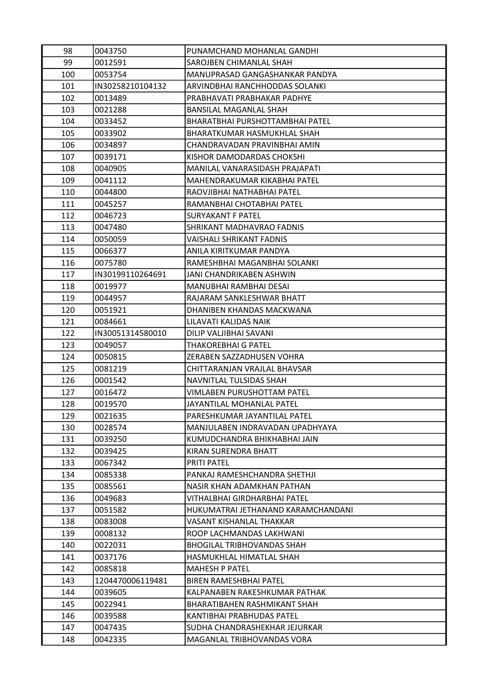| 98  | 0043750          | PUNAMCHAND MOHANLAL GANDHI         |
|-----|------------------|------------------------------------|
| 99  | 0012591          | SAROJBEN CHIMANLAL SHAH            |
| 100 | 0053754          | MANUPRASAD GANGASHANKAR PANDYA     |
| 101 | IN30258210104132 | ARVINDBHAI RANCHHODDAS SOLANKI     |
| 102 | 0013489          | PRABHAVATI PRABHAKAR PADHYE        |
| 103 | 0021288          | BANSILAL MAGANLAL SHAH             |
| 104 | 0033452          | BHARATBHAI PURSHOTTAMBHAI PATEL    |
| 105 | 0033902          | BHARATKUMAR HASMUKHLAL SHAH        |
| 106 | 0034897          | CHANDRAVADAN PRAVINBHAI AMIN       |
| 107 | 0039171          | KISHOR DAMODARDAS CHOKSHI          |
| 108 | 0040905          | MANILAL VANARASIDASH PRAJAPATI     |
| 109 | 0041112          | MAHENDRAKUMAR KIKABHAI PATEL       |
| 110 | 0044800          | RAOVJIBHAI NATHABHAI PATEL         |
| 111 | 0045257          | RAMANBHAI CHOTABHAI PATEL          |
| 112 | 0046723          | <b>SURYAKANT F PATEL</b>           |
| 113 | 0047480          | SHRIKANT MADHAVRAO FADNIS          |
| 114 | 0050059          | <b>VAISHALI SHRIKANT FADNIS</b>    |
| 115 | 0066377          | ANILA KIRITKUMAR PANDYA            |
| 116 | 0075780          | RAMESHBHAI MAGANBHAI SOLANKI       |
| 117 | IN30199110264691 | JANI CHANDRIKABEN ASHWIN           |
| 118 | 0019977          | MANUBHAI RAMBHAI DESAI             |
| 119 | 0044957          | RAJARAM SANKLESHWAR BHATT          |
| 120 | 0051921          | DHANIBEN KHANDAS MACKWANA          |
| 121 | 0084661          | LILAVATI KALIDAS NAIK              |
| 122 | IN30051314580010 | DILIP VALJIBHAI SAVANI             |
| 123 | 0049057          | <b>THAKOREBHAI G PATEL</b>         |
| 124 | 0050815          | ZERABEN SAZZADHUSEN VOHRA          |
| 125 | 0081219          | CHITTARANJAN VRAJLAL BHAVSAR       |
| 126 | 0001542          | NAVNITLAL TULSIDAS SHAH            |
| 127 | 0016472          | VIMLABEN PURUSHOTTAM PATEL         |
| 128 | 0019570          | JAYANTILAL MOHANLAL PATEL          |
| 129 | 0021635          | PARESHKUMAR JAYANTILAL PATEL       |
| 130 | 0028574          | MANJULABEN INDRAVADAN UPADHYAYA    |
| 131 | 0039250          | KUMUDCHANDRA BHIKHABHAI JAIN       |
| 132 | 0039425          | KIRAN SURENDRA BHATT               |
| 133 | 0067342          | <b>PRITI PATEL</b>                 |
| 134 | 0085338          | PANKAJ RAMESHCHANDRA SHETHJI       |
| 135 | 0085561          | NASIR KHAN ADAMKHAN PATHAN         |
| 136 | 0049683          | VITHALBHAI GIRDHARBHAI PATEL       |
| 137 | 0051582          | HUKUMATRAI JETHANAND KARAMCHANDANI |
| 138 | 0083008          | <b>VASANT KISHANLAL THAKKAR</b>    |
| 139 | 0008132          | ROOP LACHMANDAS LAKHWANI           |
| 140 | 0022031          | <b>BHOGILAL TRIBHOVANDAS SHAH</b>  |
| 141 | 0037176          | HASMUKHLAL HIMATLAL SHAH           |
| 142 | 0085818          | <b>MAHESH P PATEL</b>              |
| 143 | 1204470006119481 | <b>BIREN RAMESHBHAI PATEL</b>      |
| 144 | 0039605          | KALPANABEN RAKESHKUMAR PATHAK      |
| 145 | 0022941          | BHARATIBAHEN RASHMIKANT SHAH       |
| 146 | 0039588          | KANTIBHAI PRABHUDAS PATEL          |
| 147 | 0047435          | SUDHA CHANDRASHEKHAR JEJURKAR      |
| 148 | 0042335          | MAGANLAL TRIBHOVANDAS VORA         |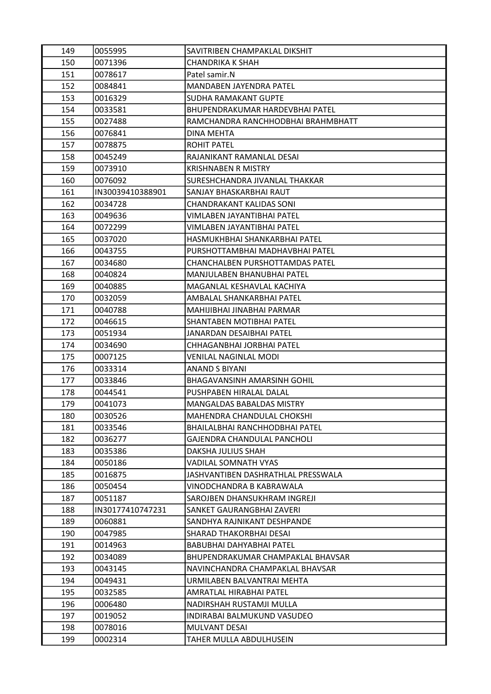| 149 | 0055995          | SAVITRIBEN CHAMPAKLAL DIKSHIT      |
|-----|------------------|------------------------------------|
| 150 | 0071396          | CHANDRIKA K SHAH                   |
| 151 | 0078617          | Patel samir.N                      |
| 152 | 0084841          | <b>MANDABEN JAYENDRA PATEL</b>     |
| 153 | 0016329          | SUDHA RAMAKANT GUPTE               |
| 154 | 0033581          | BHUPENDRAKUMAR HARDEVBHAI PATEL    |
| 155 | 0027488          | RAMCHANDRA RANCHHODBHAI BRAHMBHATT |
| 156 | 0076841          | DINA MEHTA                         |
| 157 | 0078875          | <b>ROHIT PATEL</b>                 |
| 158 | 0045249          | RAJANIKANT RAMANLAL DESAI          |
| 159 | 0073910          | <b>KRISHNABEN R MISTRY</b>         |
| 160 | 0076092          | SURESHCHANDRA JIVANLAL THAKKAR     |
| 161 | IN30039410388901 | SANJAY BHASKARBHAI RAUT            |
| 162 | 0034728          | CHANDRAKANT KALIDAS SONI           |
| 163 | 0049636          | VIMLABEN JAYANTIBHAI PATEL         |
| 164 | 0072299          | VIMLABEN JAYANTIBHAI PATEL         |
| 165 | 0037020          | HASMUKHBHAI SHANKARBHAI PATEL      |
| 166 | 0043755          | PURSHOTTAMBHAI MADHAVBHAI PATEL    |
| 167 | 0034680          | CHANCHALBEN PURSHOTTAMDAS PATEL    |
| 168 | 0040824          | <b>MANJULABEN BHANUBHAI PATEL</b>  |
| 169 | 0040885          | MAGANLAL KESHAVLAL KACHIYA         |
| 170 | 0032059          | AMBALAL SHANKARBHAI PATEL          |
| 171 | 0040788          | MAHIJIBHAI JINABHAI PARMAR         |
| 172 | 0046615          | SHANTABEN MOTIBHAI PATEL           |
| 173 | 0051934          | JANARDAN DESAIBHAI PATEL           |
| 174 | 0034690          | CHHAGANBHAI JORBHAI PATEL          |
| 175 | 0007125          | <b>VENILAL NAGINLAL MODI</b>       |
| 176 | 0033314          | <b>ANAND S BIYANI</b>              |
| 177 | 0033846          | BHAGAVANSINH AMARSINH GOHIL        |
| 178 | 0044541          | PUSHPABEN HIRALAL DALAL            |
| 179 | 0041073          | MANGALDAS BABALDAS MISTRY          |
| 180 | 0030526          | MAHENDRA CHANDULAL CHOKSHI         |
| 181 | 0033546          | BHAILALBHAI RANCHHODBHAI PATEL     |
| 182 | 0036277          | <b>GAJENDRA CHANDULAL PANCHOLI</b> |
| 183 | 0035386          | DAKSHA JULIUS SHAH                 |
| 184 | 0050186          | VADILAL SOMNATH VYAS               |
| 185 | 0016875          | JASHVANTIBEN DASHRATHLAL PRESSWALA |
| 186 | 0050454          | VINODCHANDRA B KABRAWALA           |
| 187 | 0051187          | SAROJBEN DHANSUKHRAM INGREJI       |
| 188 | IN30177410747231 | SANKET GAURANGBHAI ZAVERI          |
| 189 | 0060881          | SANDHYA RAJNIKANT DESHPANDE        |
| 190 | 0047985          | SHARAD THAKORBHAI DESAI            |
| 191 | 0014963          | BABUBHAI DAHYABHAI PATEL           |
| 192 | 0034089          | BHUPENDRAKUMAR CHAMPAKLAL BHAVSAR  |
| 193 | 0043145          | NAVINCHANDRA CHAMPAKLAL BHAVSAR    |
| 194 | 0049431          | URMILABEN BALVANTRAI MEHTA         |
| 195 | 0032585          | AMRATLAL HIRABHAI PATEL            |
| 196 | 0006480          | NADIRSHAH RUSTAMJI MULLA           |
| 197 | 0019052          | INDIRABAI BALMUKUND VASUDEO        |
| 198 | 0078016          | MULVANT DESAI                      |
| 199 | 0002314          | TAHER MULLA ABDULHUSEIN            |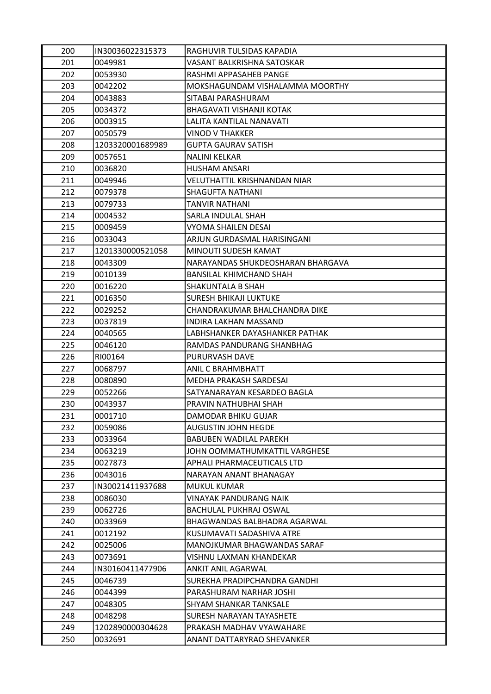| 200 | IN30036022315373 | RAGHUVIR TULSIDAS KAPADIA         |
|-----|------------------|-----------------------------------|
| 201 | 0049981          | VASANT BALKRISHNA SATOSKAR        |
| 202 | 0053930          | RASHMI APPASAHEB PANGE            |
| 203 | 0042202          | MOKSHAGUNDAM VISHALAMMA MOORTHY   |
| 204 | 0043883          | SITABAI PARASHURAM                |
| 205 | 0034372          | BHAGAVATI VISHANJI KOTAK          |
| 206 | 0003915          | LALITA KANTILAL NANAVATI          |
| 207 | 0050579          | <b>VINOD V THAKKER</b>            |
| 208 | 1203320001689989 | <b>GUPTA GAURAV SATISH</b>        |
| 209 | 0057651          | <b>NALINI KELKAR</b>              |
| 210 | 0036820          | <b>HUSHAM ANSARI</b>              |
| 211 | 0049946          | VELUTHATTIL KRISHNANDAN NIAR      |
| 212 | 0079378          | SHAGUFTA NATHANI                  |
| 213 | 0079733          | <b>TANVIR NATHANI</b>             |
| 214 | 0004532          | SARLA INDULAL SHAH                |
| 215 | 0009459          | <b>VYOMA SHAILEN DESAI</b>        |
| 216 | 0033043          | ARJUN GURDASMAL HARISINGANI       |
| 217 | 1201330000521058 | MINOUTI SUDESH KAMAT              |
| 218 | 0043309          | NARAYANDAS SHUKDEOSHARAN BHARGAVA |
| 219 | 0010139          | <b>BANSILAL KHIMCHAND SHAH</b>    |
| 220 | 0016220          | SHAKUNTALA B SHAH                 |
| 221 | 0016350          | <b>SURESH BHIKAJI LUKTUKE</b>     |
| 222 | 0029252          | CHANDRAKUMAR BHALCHANDRA DIKE     |
| 223 | 0037819          | INDIRA LAKHAN MASSAND             |
| 224 | 0040565          | LABHSHANKER DAYASHANKER PATHAK    |
| 225 | 0046120          | RAMDAS PANDURANG SHANBHAG         |
| 226 | RI00164          | <b>PURURVASH DAVE</b>             |
| 227 | 0068797          | ANIL C BRAHMBHATT                 |
| 228 | 0080890          | MEDHA PRAKASH SARDESAI            |
| 229 | 0052266          | SATYANARAYAN KESARDEO BAGLA       |
| 230 | 0043937          | PRAVIN NATHUBHAI SHAH             |
| 231 | 0001710          | DAMODAR BHIKU GUJAR               |
| 232 | 0059086          | <b>AUGUSTIN JOHN HEGDE</b>        |
| 233 | 0033964          | <b>BABUBEN WADILAL PAREKH</b>     |
| 234 | 0063219          | JOHN OOMMATHUMKATTIL VARGHESE     |
| 235 | 0027873          | APHALI PHARMACEUTICALS LTD        |
| 236 | 0043016          | NARAYAN ANANT BHANAGAY            |
| 237 | IN30021411937688 | <b>MUKUL KUMAR</b>                |
| 238 | 0086030          | <b>VINAYAK PANDURANG NAIK</b>     |
| 239 | 0062726          | <b>BACHULAL PUKHRAJ OSWAL</b>     |
| 240 | 0033969          | BHAGWANDAS BALBHADRA AGARWAL      |
| 241 | 0012192          | KUSUMAVATI SADASHIVA ATRE         |
| 242 | 0025006          | MANOJKUMAR BHAGWANDAS SARAF       |
| 243 | 0073691          | VISHNU LAXMAN KHANDEKAR           |
| 244 | IN30160411477906 | ANKIT ANIL AGARWAL                |
| 245 | 0046739          | SUREKHA PRADIPCHANDRA GANDHI      |
| 246 | 0044399          | PARASHURAM NARHAR JOSHI           |
| 247 | 0048305          | SHYAM SHANKAR TANKSALE            |
| 248 | 0048298          | SURESH NARAYAN TAYASHETE          |
| 249 | 1202890000304628 | PRAKASH MADHAV VYAWAHARE          |
| 250 | 0032691          | ANANT DATTARYRAO SHEVANKER        |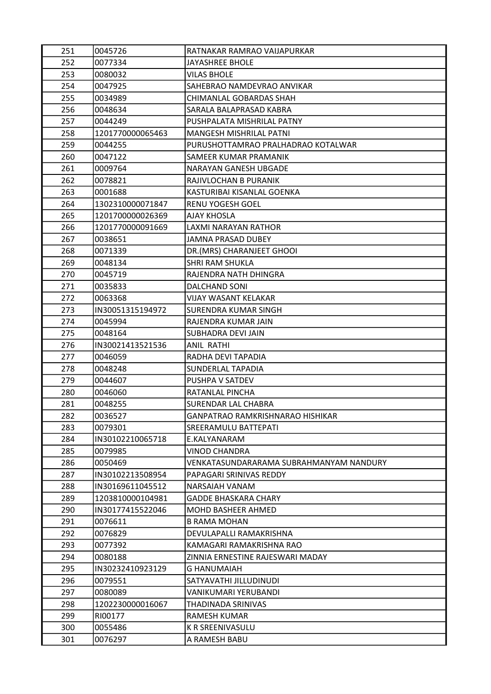| 251 | 0045726          | RATNAKAR RAMRAO VAIJAPURKAR             |
|-----|------------------|-----------------------------------------|
| 252 | 0077334          | <b>JAYASHREE BHOLE</b>                  |
| 253 | 0080032          | <b>VILAS BHOLE</b>                      |
| 254 | 0047925          | SAHEBRAO NAMDEVRAO ANVIKAR              |
| 255 | 0034989          | CHIMANLAL GOBARDAS SHAH                 |
| 256 | 0048634          | SARALA BALAPRASAD KABRA                 |
| 257 | 0044249          | PUSHPALATA MISHRILAL PATNY              |
| 258 | 1201770000065463 | MANGESH MISHRILAL PATNI                 |
| 259 | 0044255          | PURUSHOTTAMRAO PRALHADRAO KOTALWAR      |
| 260 | 0047122          | SAMEER KUMAR PRAMANIK                   |
| 261 | 0009764          | NARAYAN GANESH UBGADE                   |
| 262 | 0078821          | RAJIVLOCHAN B PURANIK                   |
| 263 | 0001688          | KASTURIBAI KISANLAL GOENKA              |
| 264 | 1302310000071847 | <b>RENU YOGESH GOEL</b>                 |
| 265 | 1201700000026369 | <b>AJAY KHOSLA</b>                      |
| 266 | 1201770000091669 | <b>LAXMI NARAYAN RATHOR</b>             |
| 267 | 0038651          | <b>JAMNA PRASAD DUBEY</b>               |
| 268 | 0071339          | DR.(MRS) CHARANJEET GHOOI               |
| 269 | 0048134          | <b>SHRI RAM SHUKLA</b>                  |
| 270 | 0045719          | RAJENDRA NATH DHINGRA                   |
| 271 | 0035833          | DALCHAND SONI                           |
| 272 | 0063368          | <b>VIJAY WASANT KELAKAR</b>             |
| 273 | IN30051315194972 | SURENDRA KUMAR SINGH                    |
| 274 | 0045994          | RAJENDRA KUMAR JAIN                     |
| 275 | 0048164          | SUBHADRA DEVI JAIN                      |
| 276 | IN30021413521536 | <b>ANIL RATHI</b>                       |
| 277 | 0046059          | RADHA DEVI TAPADIA                      |
| 278 | 0048248          | SUNDERLAL TAPADIA                       |
| 279 | 0044607          | PUSHPA V SATDEV                         |
| 280 | 0046060          | RATANLAL PINCHA                         |
| 281 | 0048255          | SURENDAR LAL CHABRA                     |
| 282 | 0036527          | GANPATRAO RAMKRISHNARAO HISHIKAR        |
| 283 | 0079301          | SREERAMULU BATTEPATI                    |
| 284 | IN30102210065718 | E.KALYANARAM                            |
| 285 | 0079985          | <b>VINOD CHANDRA</b>                    |
| 286 | 0050469          | VENKATASUNDARARAMA SUBRAHMANYAM NANDURY |
| 287 | IN30102213508954 | PAPAGARI SRINIVAS REDDY                 |
| 288 | IN30169611045512 | <b>NARSAIAH VANAM</b>                   |
| 289 | 1203810000104981 | <b>GADDE BHASKARA CHARY</b>             |
| 290 | IN30177415522046 | <b>MOHD BASHEER AHMED</b>               |
| 291 | 0076611          | <b>B RAMA MOHAN</b>                     |
| 292 | 0076829          | DEVULAPALLI RAMAKRISHNA                 |
| 293 | 0077392          | KAMAGARI RAMAKRISHNA RAO                |
| 294 | 0080188          | ZINNIA ERNESTINE RAJESWARI MADAY        |
| 295 | IN30232410923129 | <b>G HANUMAIAH</b>                      |
| 296 | 0079551          | SATYAVATHI JILLUDINUDI                  |
| 297 | 0080089          | VANIKUMARI YERUBANDI                    |
| 298 | 1202230000016067 | THADINADA SRINIVAS                      |
| 299 | RI00177          | <b>RAMESH KUMAR</b>                     |
| 300 | 0055486          | K R SREENIVASULU                        |
| 301 | 0076297          | A RAMESH BABU                           |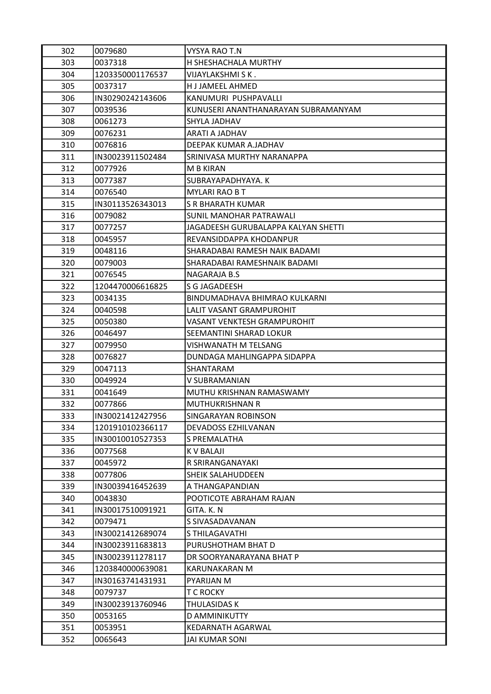| 302 | 0079680          | <b>VYSYA RAO T.N</b>                |
|-----|------------------|-------------------------------------|
| 303 | 0037318          | H SHESHACHALA MURTHY                |
| 304 | 1203350001176537 | VIJAYLAKSHMI S K .                  |
| 305 | 0037317          | <b>HJJAMEEL AHMED</b>               |
| 306 | IN30290242143606 | KANUMURI PUSHPAVALLI                |
| 307 | 0039536          | KUNUSERI ANANTHANARAYAN SUBRAMANYAM |
| 308 | 0061273          | SHYLA JADHAV                        |
| 309 | 0076231          | ARATI A JADHAV                      |
| 310 | 0076816          | DEEPAK KUMAR A.JADHAV               |
| 311 | IN30023911502484 | SRINIVASA MURTHY NARANAPPA          |
| 312 | 0077926          | <b>M B KIRAN</b>                    |
| 313 | 0077387          | SUBRAYAPADHYAYA, K                  |
| 314 | 0076540          | <b>MYLARI RAO B T</b>               |
| 315 | IN30113526343013 | S R BHARATH KUMAR                   |
| 316 | 0079082          | SUNIL MANOHAR PATRAWALI             |
| 317 | 0077257          | JAGADEESH GURUBALAPPA KALYAN SHETTI |
| 318 | 0045957          | REVANSIDDAPPA KHODANPUR             |
| 319 | 0048116          | SHARADABAI RAMESH NAIK BADAMI       |
| 320 | 0079003          | SHARADABAI RAMESHNAIK BADAMI        |
| 321 | 0076545          | NAGARAJA B.S                        |
| 322 | 1204470006616825 | S G JAGADEESH                       |
| 323 | 0034135          | BINDUMADHAVA BHIMRAO KULKARNI       |
| 324 | 0040598          | LALIT VASANT GRAMPUROHIT            |
| 325 | 0050380          | <b>VASANT VENKTESH GRAMPUROHIT</b>  |
| 326 | 0046497          | SEEMANTINI SHARAD LOKUR             |
| 327 | 0079950          | VISHWANATH M TELSANG                |
| 328 | 0076827          | DUNDAGA MAHLINGAPPA SIDAPPA         |
| 329 | 0047113          | <b>SHANTARAM</b>                    |
| 330 | 0049924          | V SUBRAMANIAN                       |
| 331 | 0041649          | MUTHU KRISHNAN RAMASWAMY            |
| 332 | 0077866          | MUTHUKRISHNAN R                     |
| 333 | IN30021412427956 | SINGARAYAN ROBINSON                 |
| 334 | 1201910102366117 | DEVADOSS EZHILVANAN                 |
| 335 | IN30010010527353 | S PREMALATHA                        |
| 336 | 0077568          | K V BALAJI                          |
| 337 | 0045972          | R SRIRANGANAYAKI                    |
| 338 | 0077806          | <b>SHEIK SALAHUDDEEN</b>            |
| 339 | IN30039416452639 | A THANGAPANDIAN                     |
| 340 | 0043830          | POOTICOTE ABRAHAM RAJAN             |
| 341 | IN30017510091921 | GITA, K. N.                         |
| 342 | 0079471          | S SIVASADAVANAN                     |
| 343 | IN30021412689074 | S THILAGAVATHI                      |
| 344 | IN30023911683813 | PURUSHOTHAM BHAT D                  |
| 345 | IN30023911278117 | DR SOORYANARAYANA BHAT P            |
| 346 | 1203840000639081 | KARUNAKARAN M                       |
| 347 | IN30163741431931 | PYARIJAN M                          |
| 348 | 0079737          | T C ROCKY                           |
| 349 | IN30023913760946 | <b>THULASIDAS K</b>                 |
| 350 | 0053165          | D AMMINIKUTTY                       |
| 351 | 0053951          | KEDARNATH AGARWAL                   |
| 352 | 0065643          | JAI KUMAR SONI                      |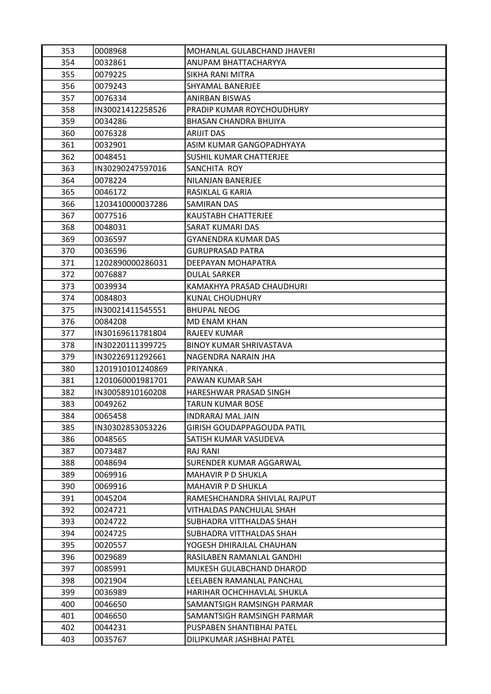| 353 | 0008968          | MOHANLAL GULABCHAND JHAVERI    |
|-----|------------------|--------------------------------|
| 354 | 0032861          | ANUPAM BHATTACHARYYA           |
| 355 | 0079225          | SIKHA RANI MITRA               |
| 356 | 0079243          | SHYAMAL BANERJEE               |
| 357 | 0076334          | <b>ANIRBAN BISWAS</b>          |
| 358 | IN30021412258526 | PRADIP KUMAR ROYCHOUDHURY      |
| 359 | 0034286          | <b>BHASAN CHANDRA BHUIYA</b>   |
| 360 | 0076328          | <b>ARIJIT DAS</b>              |
| 361 | 0032901          | ASIM KUMAR GANGOPADHYAYA       |
| 362 | 0048451          | SUSHIL KUMAR CHATTERJEE        |
| 363 | IN30290247597016 | SANCHITA ROY                   |
| 364 | 0078224          | NILANJAN BANERJEE              |
| 365 | 0046172          | RASIKLAL G KARIA               |
| 366 | 1203410000037286 | SAMIRAN DAS                    |
| 367 | 0077516          | KAUSTABH CHATTERJEE            |
| 368 | 0048031          | <b>SARAT KUMARI DAS</b>        |
| 369 | 0036597          | <b>GYANENDRA KUMAR DAS</b>     |
| 370 | 0036596          | <b>GURUPRASAD PATRA</b>        |
| 371 | 1202890000286031 | <b>DEEPAYAN MOHAPATRA</b>      |
| 372 | 0076887          | <b>DULAL SARKER</b>            |
| 373 | 0039934          | KAMAKHYA PRASAD CHAUDHURI      |
| 374 | 0084803          | KUNAL CHOUDHURY                |
| 375 | IN30021411545551 | <b>BHUPAL NEOG</b>             |
| 376 | 0084208          | <b>MD ENAM KHAN</b>            |
| 377 | IN30169611781804 | <b>RAJEEV KUMAR</b>            |
| 378 | IN30220111399725 | <b>BINOY KUMAR SHRIVASTAVA</b> |
| 379 | IN30226911292661 | NAGENDRA NARAIN JHA            |
| 380 | 1201910101240869 | PRIYANKA.                      |
| 381 | 1201060001981701 | PAWAN KUMAR SAH                |
| 382 | IN30058910160208 | HARESHWAR PRASAD SINGH         |
| 383 | 0049262          | <b>TARUN KUMAR BOSE</b>        |
| 384 | 0065458          | INDRARAJ MAL JAIN              |
| 385 | IN30302853053226 | GIRISH GOUDAPPAGOUDA PATIL     |
| 386 | 0048565          | SATISH KUMAR VASUDEVA          |
| 387 | 0073487          | <b>RAJ RANI</b>                |
| 388 | 0048694          | SURENDER KUMAR AGGARWAL        |
| 389 | 0069916          | MAHAVIR P D SHUKLA             |
| 390 | 0069916          | <b>MAHAVIR P D SHUKLA</b>      |
| 391 | 0045204          | RAMESHCHANDRA SHIVLAL RAJPUT   |
| 392 | 0024721          | VITHALDAS PANCHULAL SHAH       |
| 393 | 0024722          | SUBHADRA VITTHALDAS SHAH       |
| 394 | 0024725          | SUBHADRA VITTHALDAS SHAH       |
| 395 | 0020557          | YOGESH DHIRAJLAL CHAUHAN       |
| 396 | 0029689          | RASILABEN RAMANLAL GANDHI      |
| 397 | 0085991          | MUKESH GULABCHAND DHAROD       |
| 398 | 0021904          | LEELABEN RAMANLAL PANCHAL      |
| 399 | 0036989          | HARIHAR OCHCHHAVLAL SHUKLA     |
| 400 | 0046650          | SAMANTSIGH RAMSINGH PARMAR     |
| 401 | 0046650          | SAMANTSIGH RAMSINGH PARMAR     |
| 402 | 0044231          | PUSPABEN SHANTIBHAI PATEL      |
| 403 | 0035767          | DILIPKUMAR JASHBHAI PATEL      |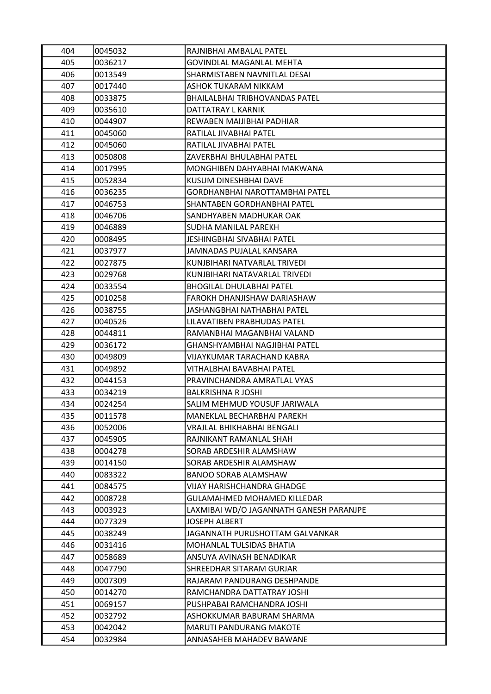| 404 | 0045032 | RAJNIBHAI AMBALAL PATEL                 |
|-----|---------|-----------------------------------------|
| 405 | 0036217 | <b>GOVINDLAL MAGANLAL MEHTA</b>         |
| 406 | 0013549 | SHARMISTABEN NAVNITLAL DESAI            |
| 407 | 0017440 | ASHOK TUKARAM NIKKAM                    |
| 408 | 0033875 | <b>BHAILALBHAI TRIBHOVANDAS PATEL</b>   |
| 409 | 0035610 | DATTATRAY L KARNIK                      |
| 410 | 0044907 | REWABEN MAIJIBHAI PADHIAR               |
| 411 | 0045060 | RATILAL JIVABHAI PATEL                  |
| 412 | 0045060 | RATILAL JIVABHAI PATEL                  |
| 413 | 0050808 | ZAVERBHAI BHULABHAI PATEL               |
| 414 | 0017995 | MONGHIBEN DAHYABHAI MAKWANA             |
| 415 | 0052834 | KUSUM DINESHBHAI DAVE                   |
| 416 | 0036235 | GORDHANBHAI NAROTTAMBHAI PATEL          |
| 417 | 0046753 | SHANTABEN GORDHANBHAI PATEL             |
| 418 | 0046706 | SANDHYABEN MADHUKAR OAK                 |
| 419 | 0046889 | <b>SUDHA MANILAL PAREKH</b>             |
| 420 | 0008495 | <b>JESHINGBHAI SIVABHAI PATEL</b>       |
| 421 | 0037977 | JAMNADAS PUJALAL KANSARA                |
| 422 | 0027875 | KUNJBIHARI NATVARLAL TRIVEDI            |
| 423 | 0029768 | KUNJBIHARI NATAVARLAL TRIVEDI           |
| 424 | 0033554 | <b>BHOGILAL DHULABHAI PATEL</b>         |
| 425 | 0010258 | FAROKH DHANJISHAW DARIASHAW             |
| 426 | 0038755 | JASHANGBHAI NATHABHAI PATEL             |
| 427 | 0040526 | LILAVATIBEN PRABHUDAS PATEL             |
| 428 | 0044811 | RAMANBHAI MAGANBHAI VALAND              |
| 429 | 0036172 | GHANSHYAMBHAI NAGJIBHAI PATEL           |
| 430 | 0049809 | VIJAYKUMAR TARACHAND KABRA              |
| 431 | 0049892 | VITHALBHAI BAVABHAI PATEL               |
| 432 | 0044153 | PRAVINCHANDRA AMRATLAL VYAS             |
| 433 | 0034219 | <b>BALKRISHNA RJOSHI</b>                |
| 434 | 0024254 | SALIM MEHMUD YOUSUF JARIWALA            |
| 435 | 0011578 | MANEKLAL BECHARBHAI PAREKH              |
| 436 | 0052006 | VRAJLAL BHIKHABHAI BENGALI              |
| 437 | 0045905 | RAJNIKANT RAMANLAL SHAH                 |
| 438 | 0004278 | SORAB ARDESHIR ALAMSHAW                 |
| 439 | 0014150 | SORAB ARDESHIR ALAMSHAW                 |
| 440 | 0083322 | <b>BANOO SORAB ALAMSHAW</b>             |
| 441 | 0084575 | VIJAY HARISHCHANDRA GHADGE              |
| 442 | 0008728 | <b>GULAMAHMED MOHAMED KILLEDAR</b>      |
| 443 | 0003923 | LAXMIBAI WD/O JAGANNATH GANESH PARANJPE |
| 444 | 0077329 | <b>JOSEPH ALBERT</b>                    |
| 445 | 0038249 | JAGANNATH PURUSHOTTAM GALVANKAR         |
| 446 | 0031416 | <b>MOHANLAL TULSIDAS BHATIA</b>         |
| 447 | 0058689 | ANSUYA AVINASH BENADIKAR                |
| 448 | 0047790 | SHREEDHAR SITARAM GURJAR                |
| 449 | 0007309 | RAJARAM PANDURANG DESHPANDE             |
| 450 | 0014270 | RAMCHANDRA DATTATRAY JOSHI              |
| 451 | 0069157 | PUSHPABAI RAMCHANDRA JOSHI              |
| 452 | 0032792 | ASHOKKUMAR BABURAM SHARMA               |
| 453 | 0042042 | <b>MARUTI PANDURANG MAKOTE</b>          |
| 454 | 0032984 | ANNASAHEB MAHADEV BAWANE                |